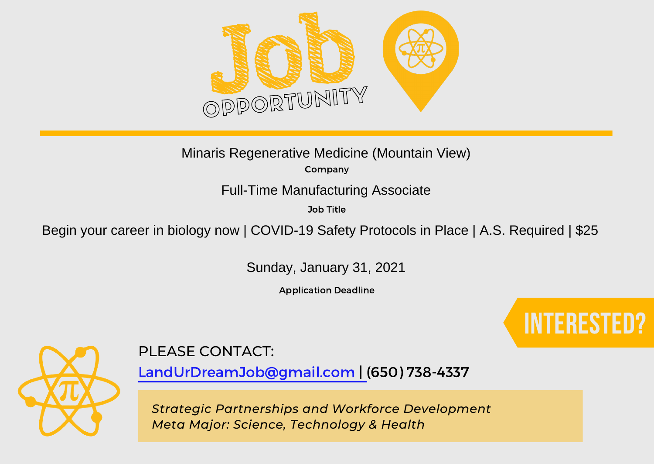

Company Minaris Regenerative Medicine (Mountain View)

Full-Time Manufacturing Associate

Job Title

Begin your career in biology now | COVID-19 Safety Protocols in Place | A.S. Required | \$25

Sunday, January 31, 2021

Application Deadline





#### PLEASE CONTACT:

LandUrDreamJob@gmail.com | (650) 738-4337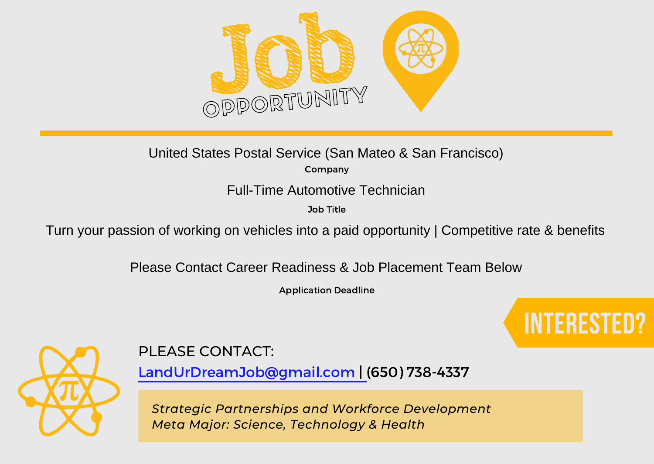

# United States Postal Service (San Mateo & San Francisco)

Company

Job Title

Full-Time Automotive Technician<br>
<sup>Job Title</sup><br>Turn your passion of working on vehicles into a paid opportunity | Competitive rate & benefits

Please Contact Career Readiness & Job Placement Team Below

Application Deadline





## PLEASE CONTACT:

LandUrDreamJob@gmail.com | (650) 738-4337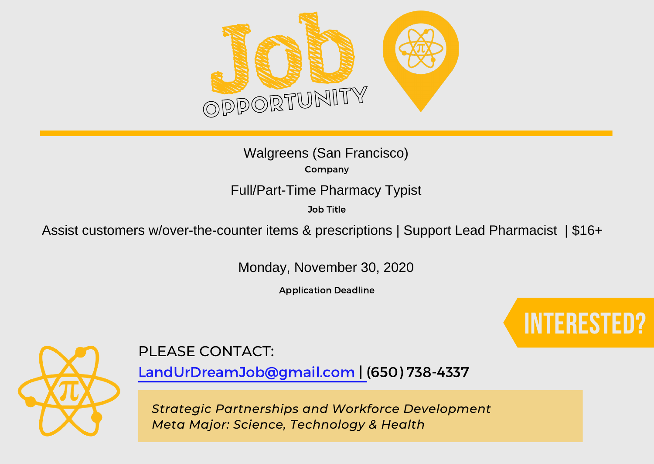

Company Job Title Walgreens (San Francisco)

Full/Part-Time Pharmacy Typist<br>
<sup>Job Title</sup><br>
Assist customers w/over-the-counter items & prescriptions | Support Lead Pharmacist | \$16+

Monday, November 30, 2020

Application Deadline





### PLEASE CONTACT:

LandUrDreamJob@gmail.com | (650) 738-4337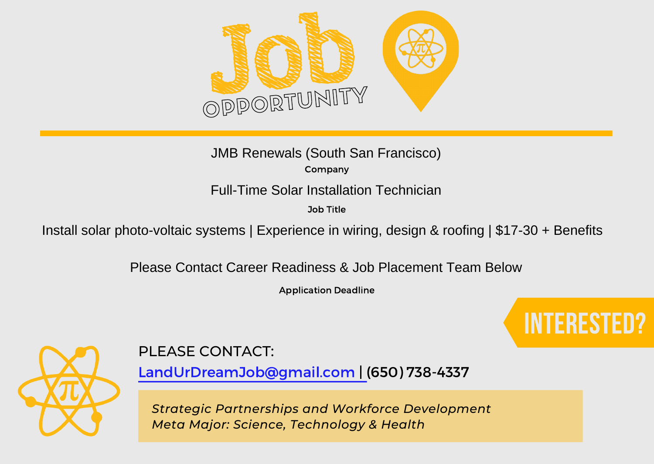

Company JMB Renewals (South San Francisco)

Job Title

Full-Time Solar Installation Technician<br>
<sup>Job Title</sup><br>Install solar photo-voltaic systems | Experience in wiring, design & roofing | \$17-30 + Benefits

Please Contact Career Readiness & Job Placement Team Below

Application Deadline





#### PLEASE CONTACT:

LandUrDreamJob@gmail.com | (650) 738-4337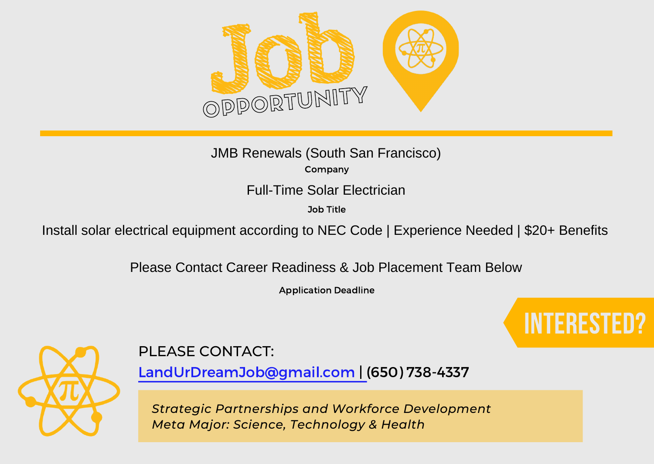

Company JMB Renewals (South San Francisco)

Full-Time Solar Electrician

Job Title

Install solar electrical equipment according to NEC Code | Experience Needed | \$20+ Benefits

Please Contact Career Readiness & Job Placement Team Below

Application Deadline





### PLEASE CONTACT:

LandUrDreamJob@gmail.com | (650) 738-4337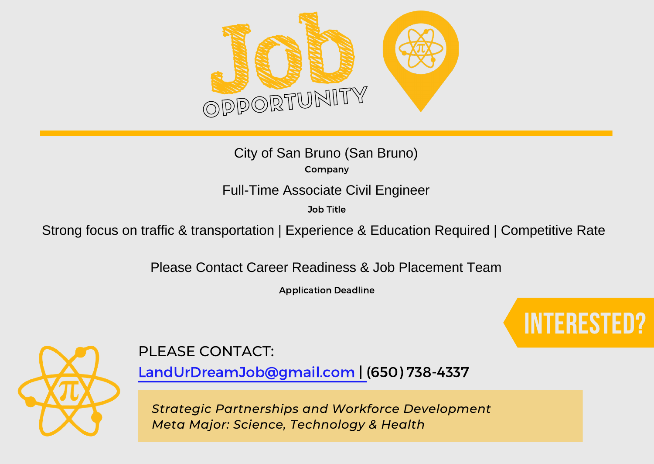

Company City of San Bruno (San Bruno)

#### Full-Time Associate Civil Engineer

Job Title

Strong focus on traffic & transportation | Experience & Education Required | Competitive Rate

Please Contact Career Readiness & Job Placement Team

Application Deadline





### PLEASE CONTACT:

LandUrDreamJob@gmail.com | (650) 738-4337